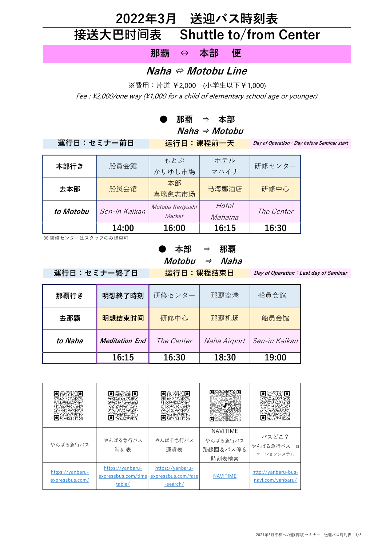# 2022年3月 送迎バス時刻表 接送大巴时间表 Shuttle to/from Center

那覇 ⇔ 本部 便

#### Naha ⇔ Motobu Line

※費用:片道 ¥2,000 (小学生以下¥1,000) Fee : \2,000/one way (\\1,000 for a child of elementary school age or younger)

#### ● 那覇 ⇒ 本部

 $Naha \Rightarrow Motobu$ 

#### 運行日:セミナー前日 运行日:课程前一天

Day of Operation: Day before Seminar start

| 本部行き      | 船員会館          | もとぶ<br>かりゆし市場              | ホテル<br>マハイナ      | 研修センター     |
|-----------|---------------|----------------------------|------------------|------------|
| 去本部       | 船员会馆          | 本部<br>喜璃愈志市场               | 马海娜酒店            | 研修中心       |
| to Motobu | Sen-in Kaikan | Motobu Kariyushi<br>Market | Hotel<br>Mahaina | The Center |
|           | 14:00         | 16:00                      | 16:15            | 16:30      |

※研修センターはスタッフのみ降車可

#### ● 本部 ⇒ 那覇  $$

運行日:セミナー終了日 运行日:课程结束日

Day of Operation: Last day of Seminar

| 那覇行き    | 明想終了時刻                | 研修センター            | 那覇空港         | 船員会館          |
|---------|-----------------------|-------------------|--------------|---------------|
| 去那覇     | 明想结束时间                | 研修中心              | 那覇机场         | 船员会馆          |
| to Naha | <b>Meditation End</b> | <i>The Center</i> | Naha Airport | Sen-in Kaikan |
|         | 16:15                 | 16:30             | 18:30        | 19:00         |

| やんばる急行バス                            | やんばる急行バス<br>時刻表                                   | やんばる急行バス<br>運賃表                                     | <b>NAVITIME</b><br>やんばる急行バス<br>路線図&バス停&<br>時刻表検索 | バスどこ?<br>やんばる急行バス<br>$\Box$<br>ケーションシステム |
|-------------------------------------|---------------------------------------------------|-----------------------------------------------------|--------------------------------------------------|------------------------------------------|
| https://yanbaru-<br>expressbus.com/ | https://yanbaru-<br>expressbus.com/time<br>table/ | https://yanbaru-<br>expressbus.com/fare<br>-search/ | NAVITIME                                         | http://yanbaru-bus-<br>navi.com/yanbaru/ |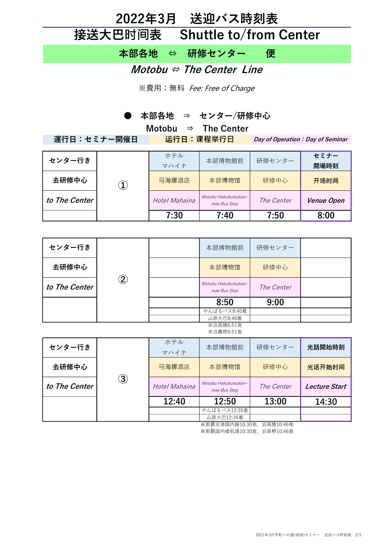### 2022年3月 送迎バス時刻表 接送大巴时间表 Shuttle to/from Center

本部各地 ⇔ 研修センター 便

Motobu  $\Leftrightarrow$  The Center Line

※費用:無料 Fee: Free of Charge

● 本部各地 ⇒ センター/研修中心

| Motobu $\Rightarrow$ The Center |          |               |                                      |                                   |            |  |
|---------------------------------|----------|---------------|--------------------------------------|-----------------------------------|------------|--|
| 運行日:セミナー開催日                     |          | 运行日:课程举行日     |                                      | Day of Operation : Day of Seminar |            |  |
|                                 |          |               |                                      |                                   |            |  |
| センター行き                          |          | ホテル           | 本部博物館前                               | 研修センター                            | セミナー       |  |
|                                 | $\bf(1)$ | マハイナ          |                                      |                                   | 開場時刻       |  |
| 去研修中心                           |          | 马海娜酒店         | 本部博物馆                                | 研修中心                              | 开场时间       |  |
| to The Center                   |          | Hotel Mahaina | Motobu Hakubutsukan-<br>mae Bus Stop | <i>The Center</i>                 | Venue Open |  |
|                                 |          | 7:30          | 7:40                                 | 7:50                              | 8:00       |  |

| センター行き        | $\mathbf{2}$ | 本部博物館前                               | 研修センター     |  |
|---------------|--------------|--------------------------------------|------------|--|
| 去研修中心         |              | 本部博物馆                                | 研修中心       |  |
| to The Center |              | Motobu Hakubutsukan-<br>mae Bus Stop | The Center |  |
|               |              | 8:50                                 | 9:00       |  |
|               |              | やんばるバス8:40着                          |            |  |
|               |              | 山原大巴8:40着                            |            |  |
|               |              | ※泊高橋6:51発                            |            |  |

|               |                |               | 山原大巴12:35着                           |            |                      |
|---------------|----------------|---------------|--------------------------------------|------------|----------------------|
|               |                | 12:40         | 12:50<br>やんばるバス12:35着                | 13:00      | 14:30                |
| to The Center | $\mathfrak{D}$ | Hotel Mahaina | Motobu Hakubutsukan-<br>mae Bus Stop | The Center | <b>Lecture Start</b> |
| 去研修中心         |                | 马海娜酒店         | 本部博物馆                                | 研修中心       | 光话开始时间               |
| センター行き        |                | ホテル<br>マハイナ   | 本部博物館前                               | 研修センター     | 光話開始時刻               |
|               |                |               | ※泊高桥6:51发                            |            |                      |

※那覇空港国内線10:30発、泊高橋10:46発 ※那覇国内楼机场10:30发、泊高桥10:46发